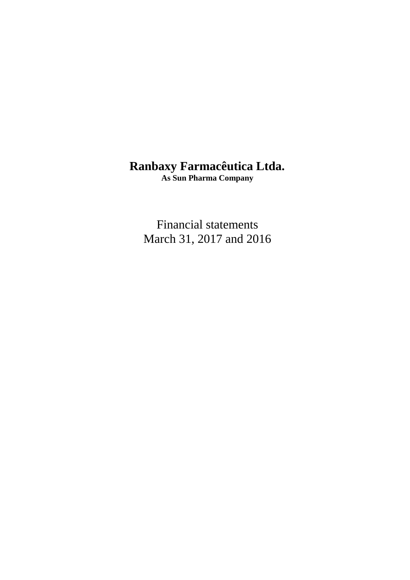# **Ranbaxy Farmacêutica Ltda.**

**As Sun Pharma Company**

Financial statements March 31, 2017 and 2016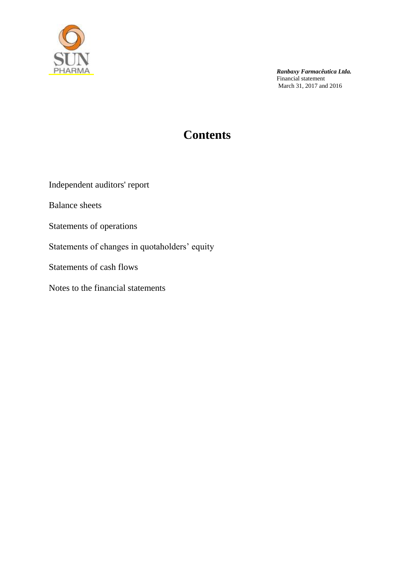

# **Contents**

Independent auditors' report

Balance sheets

Statements of operations

Statements of changes in quotaholders' equity

Statements of cash flows

Notes to the financial statements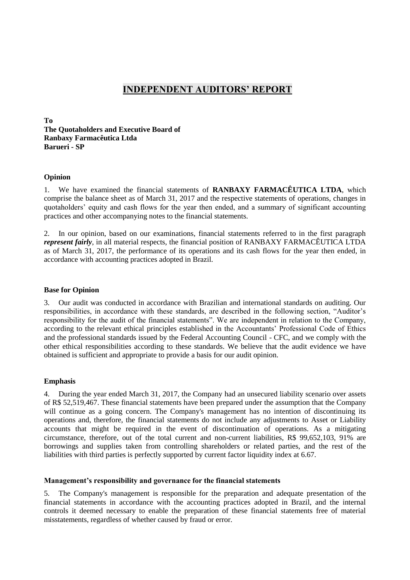# **INDEPENDENT AUDITORS' REPORT**

**To The Quotaholders and Executive Board of Ranbaxy Farmacêutica Ltda Barueri - SP**

#### **Opinion**

1. We have examined the financial statements of **RANBAXY FARMACÊUTICA LTDA**, which comprise the balance sheet as of March 31, 2017 and the respective statements of operations, changes in quotaholders' equity and cash flows for the year then ended, and a summary of significant accounting practices and other accompanying notes to the financial statements.

2. In our opinion, based on our examinations, financial statements referred to in the first paragraph *represent fairly*, in all material respects, the financial position of RANBAXY FARMACÊUTICA LTDA as of March 31, 2017, the performance of its operations and its cash flows for the year then ended, in accordance with accounting practices adopted in Brazil.

#### **Base for Opinion**

3. Our audit was conducted in accordance with Brazilian and international standards on auditing. Our responsibilities, in accordance with these standards, are described in the following section, "Auditor's responsibility for the audit of the financial statements". We are independent in relation to the Company, according to the relevant ethical principles established in the Accountants' Professional Code of Ethics and the professional standards issued by the Federal Accounting Council - CFC, and we comply with the other ethical responsibilities according to these standards. We believe that the audit evidence we have obtained is sufficient and appropriate to provide a basis for our audit opinion.

#### **Emphasis**

4. During the year ended March 31, 2017, the Company had an unsecured liability scenario over assets of R\$ 52,519,467. These financial statements have been prepared under the assumption that the Company will continue as a going concern. The Company's management has no intention of discontinuing its operations and, therefore, the financial statements do not include any adjustments to Asset or Liability accounts that might be required in the event of discontinuation of operations. As a mitigating circumstance, therefore, out of the total current and non-current liabilities, R\$ 99,652,103, 91% are borrowings and supplies taken from controlling shareholders or related parties, and the rest of the liabilities with third parties is perfectly supported by current factor liquidity index at 6.67.

#### **Management's responsibility and governance for the financial statements**

5. The Company's management is responsible for the preparation and adequate presentation of the financial statements in accordance with the accounting practices adopted in Brazil, and the internal controls it deemed necessary to enable the preparation of these financial statements free of material misstatements, regardless of whether caused by fraud or error.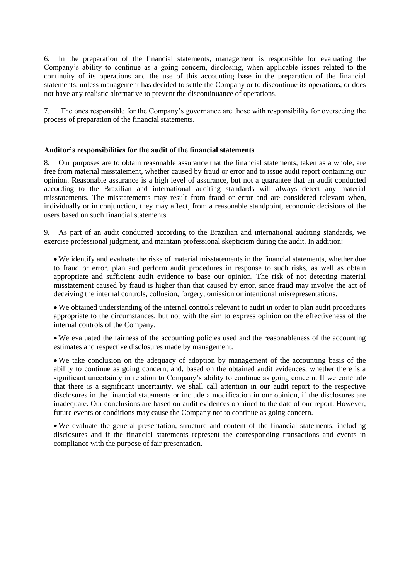6. In the preparation of the financial statements, management is responsible for evaluating the Company's ability to continue as a going concern, disclosing, when applicable issues related to the continuity of its operations and the use of this accounting base in the preparation of the financial statements, unless management has decided to settle the Company or to discontinue its operations, or does not have any realistic alternative to prevent the discontinuance of operations.

7. The ones responsible for the Company's governance are those with responsibility for overseeing the process of preparation of the financial statements.

#### **Auditor's responsibilities for the audit of the financial statements**

8. Our purposes are to obtain reasonable assurance that the financial statements, taken as a whole, are free from material misstatement, whether caused by fraud or error and to issue audit report containing our opinion. Reasonable assurance is a high level of assurance, but not a guarantee that an audit conducted according to the Brazilian and international auditing standards will always detect any material misstatements. The misstatements may result from fraud or error and are considered relevant when, individually or in conjunction, they may affect, from a reasonable standpoint, economic decisions of the users based on such financial statements.

9. As part of an audit conducted according to the Brazilian and international auditing standards, we exercise professional judgment, and maintain professional skepticism during the audit. In addition:

 We identify and evaluate the risks of material misstatements in the financial statements, whether due to fraud or error, plan and perform audit procedures in response to such risks, as well as obtain appropriate and sufficient audit evidence to base our opinion. The risk of not detecting material misstatement caused by fraud is higher than that caused by error, since fraud may involve the act of deceiving the internal controls, collusion, forgery, omission or intentional misrepresentations.

 We obtained understanding of the internal controls relevant to audit in order to plan audit procedures appropriate to the circumstances, but not with the aim to express opinion on the effectiveness of the internal controls of the Company.

 We evaluated the fairness of the accounting policies used and the reasonableness of the accounting estimates and respective disclosures made by management.

 We take conclusion on the adequacy of adoption by management of the accounting basis of the ability to continue as going concern, and, based on the obtained audit evidences, whether there is a significant uncertainty in relation to Company's ability to continue as going concern. If we conclude that there is a significant uncertainty, we shall call attention in our audit report to the respective disclosures in the financial statements or include a modification in our opinion, if the disclosures are inadequate. Our conclusions are based on audit evidences obtained to the date of our report. However, future events or conditions may cause the Company not to continue as going concern.

 We evaluate the general presentation, structure and content of the financial statements, including disclosures and if the financial statements represent the corresponding transactions and events in compliance with the purpose of fair presentation.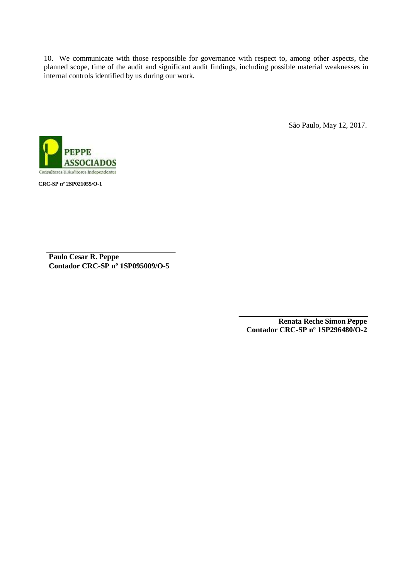10. We communicate with those responsible for governance with respect to, among other aspects, the planned scope, time of the audit and significant audit findings, including possible material weaknesses in internal controls identified by us during our work.

São Paulo, May 12, 2017.



**CRC-SP nº 2SP021055/O-1**

**Paulo Cesar R. Peppe Contador CRC-SP nº 1SP095009/O-5**

> **Renata Reche Simon Peppe Contador CRC-SP nº 1SP296480/O-2**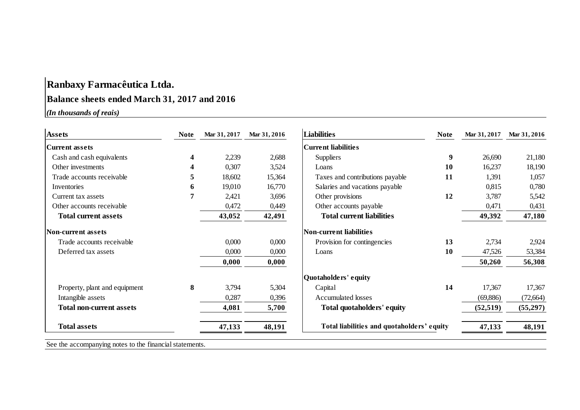# **Ranbaxy Farmacêutica Ltda.**

# **Balance sheets ended March 31, 2017 and 2016**

| <b>Assets</b>                   | <b>Note</b> | Mar 31, 2017 | Mar 31, 2016 | <b>Liabilities</b>                         | <b>Note</b>      | Mar 31, 2017 | Mar 31, 2016 |
|---------------------------------|-------------|--------------|--------------|--------------------------------------------|------------------|--------------|--------------|
| <b>Current assets</b>           |             |              |              | <b>Current liabilities</b>                 |                  |              |              |
| Cash and cash equivalents       | 4           | 2,239        | 2,688        | Suppliers                                  | $\boldsymbol{9}$ | 26,690       | 21,180       |
| Other investments               | 4           | 0,307        | 3,524        | Loans                                      | 10               | 16,237       | 18,190       |
| Trade accounts receivable       | 5           | 18,602       | 15,364       | Taxes and contributions payable            | 11               | 1,391        | 1,057        |
| Inventories                     | 6           | 19,010       | 16,770       | Salaries and vacations payable             |                  | 0,815        | 0,780        |
| Current tax assets              | 7           | 2,421        | 3,696        | Other provisions                           | 12               | 3,787        | 5,542        |
| Other accounts receivable       |             | 0,472        | 0,449        | Other accounts payable                     |                  | 0,471        | 0,431        |
| <b>Total current assets</b>     |             | 43,052       | 42,491       | <b>Total current liabilities</b>           |                  | 49,392       | 47,180       |
| Non-current assets              |             |              |              | Non-current liabilities                    |                  |              |              |
| Trade accounts receivable       |             | 0,000        | 0,000        | Provision for contingencies                | 13               | 2,734        | 2,924        |
| Deferred tax assets             |             | 0,000        | 0,000        | Loans                                      | 10               | 47,526       | 53,384       |
|                                 |             | 0,000        | 0,000        |                                            |                  | 50,260       | 56,308       |
|                                 |             |              |              | Quotaholders' equity                       |                  |              |              |
| Property, plant and equipment   | 8           | 3,794        | 5,304        | Capital                                    | 14               | 17,367       | 17,367       |
| Intangible assets               |             | 0,287        | 0,396        | Accumulated losses                         |                  | (69, 886)    | (72, 664)    |
| <b>Total non-current assets</b> |             | 4,081        | 5,700        | Total quotaholders' equity                 |                  | (52, 519)    | (55,297)     |
| <b>Total assets</b>             |             | 47,133       | 48,191       | Total liabilities and quotaholders' equity |                  | 47,133       | 48,191       |

See the accompanying notes to the financial statements.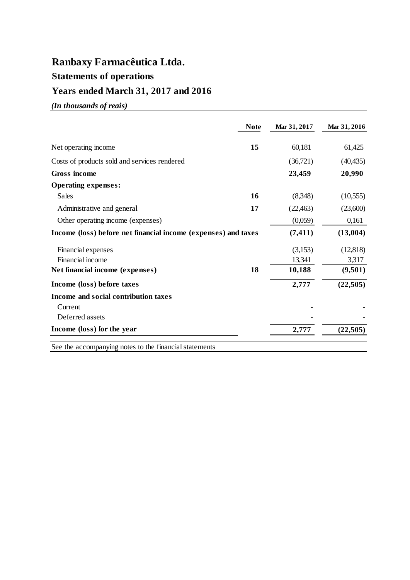# **Ranbaxy Farmacêutica Ltda. Statements of operations Years ended March 31, 2017 and 2016**

*(In thousands of reais)*

|                                                                | <b>Note</b> | Mar 31, 2017 | Mar 31, 2016 |
|----------------------------------------------------------------|-------------|--------------|--------------|
| Net operating income                                           | 15          | 60,181       | 61,425       |
| Costs of products sold and services rendered                   |             | (36,721)     | (40, 435)    |
| Gross income                                                   |             | 23,459       | 20,990       |
| <b>Operating expenses:</b>                                     |             |              |              |
| Sales                                                          | 16          | (8,348)      | (10, 555)    |
| Administrative and general                                     | 17          | (22, 463)    | (23,600)     |
| Other operating income (expenses)                              |             | (0,059)      | 0,161        |
| Income (loss) before net financial income (expenses) and taxes |             | (7, 411)     | (13,004)     |
| Financial expenses                                             |             | (3,153)      | (12, 818)    |
| Financial income                                               |             | 13,341       | 3,317        |
| Net financial income (expenses)                                | 18          | 10,188       | (9,501)      |
| Income (loss) before taxes                                     |             | 2,777        | (22,505)     |
| Income and social contribution taxes                           |             |              |              |
| Current                                                        |             |              |              |
| Deferred assets                                                |             |              |              |
| Income (loss) for the year                                     |             | 2,777        | (22, 505)    |

See the accompanying notes to the financial statements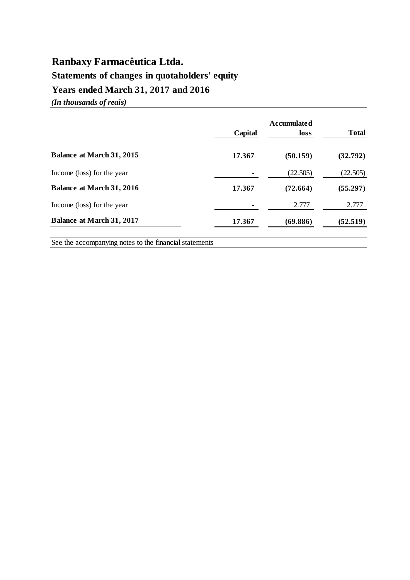# **Ranbaxy Farmacêutica Ltda. Statements of changes in quotaholders' equity Years ended March 31, 2017 and 2016** *(In thousands of reais)*

|                                  | Capital | <b>Accumulated</b><br>loss | <b>Total</b> |
|----------------------------------|---------|----------------------------|--------------|
| <b>Balance at March 31, 2015</b> | 17.367  | (50.159)                   | (32.792)     |
| Income (loss) for the year       |         | (22.505)                   | (22.505)     |
| Balance at March 31, 2016        | 17.367  | (72.664)                   | (55.297)     |
| Income (loss) for the year       |         | 2.777                      | 2.777        |
| Balance at March 31, 2017        | 17.367  | (69.886)                   | (52.519)     |

See the accompanying notes to the financial statements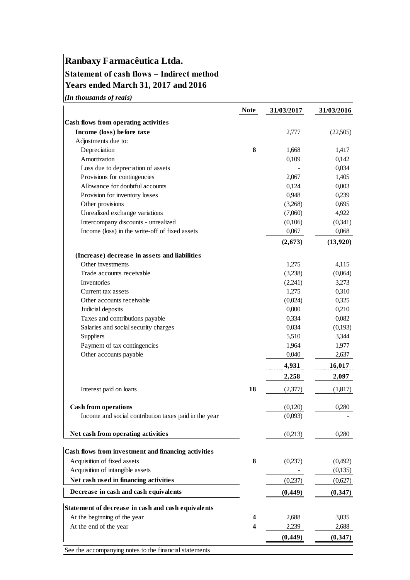# **Ranbaxy Farmacêutica Ltda. Statement of cash flows – Indirect method**

**Years ended March 31, 2017 and 2016**

*(In thousands of reais)*

|                                                        | <b>Note</b> | 31/03/2017 | 31/03/2016 |
|--------------------------------------------------------|-------------|------------|------------|
| Cash flows from operating activities                   |             |            |            |
| Income (loss) before taxe                              |             | 2,777      | (22,505)   |
| Adjustments due to:                                    |             |            |            |
| Depreciation                                           | 8           | 1,668      | 1,417      |
| Amortization                                           |             | 0,109      | 0,142      |
| Loss due to depreciation of assets                     |             |            | 0,034      |
| Provisions for contingencies                           |             | 2,067      | 1,405      |
| Allowance for doubtful accounts                        |             | 0,124      | 0,003      |
| Provision for inventory losses                         |             | 0,948      | 0,239      |
| Other provisions                                       |             | (3,268)    | 0,695      |
| Unrealized exchange variations                         |             | (7,060)    | 4,922      |
| Intercompany discounts - unrealized                    |             | (0,106)    | (0,341)    |
| Income (loss) in the write-off of fixed assets         |             | 0,067      | 0,068      |
|                                                        |             | (2, 673)   | (13,920)   |
| (Increase) decrease in assets and liabilities          |             |            |            |
| Other investments                                      |             | 1,275      | 4,115      |
| Trade accounts receivable                              |             | (3,238)    | (0,064)    |
| Inventories                                            |             | (2,241)    | 3,273      |
| Current tax assets                                     |             | 1,275      | 0,310      |
| Other accounts receivable                              |             | (0,024)    | 0,325      |
| Judicial deposits                                      |             | 0,000      | 0,210      |
| Taxes and contributions payable                        |             | 0,334      | 0,082      |
| Salaries and social security charges                   |             | 0,034      | (0,193)    |
| Suppliers                                              |             | 5,510      | 3,344      |
| Payment of tax contingencies                           |             | 1,964      | 1,977      |
| Other accounts payable                                 |             | 0,040      | 2,637      |
|                                                        |             | 4,931      | 16,017     |
|                                                        |             | 2,258      | 2,097      |
| Interest paid on loans                                 | 18          | (2,377)    | (1,817)    |
| <b>Cash from operations</b>                            |             | (0,120)    | 0,280      |
| Income and social contribution taxes paid in the year  |             | (0,093)    |            |
| Net cash from operating activities                     |             | (0,213)    | 0,280      |
|                                                        |             |            |            |
| Cash flows from investment and financing activities    |             |            |            |
| Acquisition of fixed assets                            | 8           | (0,237)    | (0,492)    |
| Acquisition of intangible assets                       |             |            | (0,135)    |
| Net cash used in financing activities                  |             | (0,237)    | (0,627)    |
| Decrease in cash and cash equivalents                  |             | (0, 449)   | (0, 347)   |
| Statement of decrease in cash and cash equivalents     |             |            |            |
| At the beginning of the year                           | 4           | 2,688      | 3,035      |
| At the end of the year                                 | 4           | 2,239      | 2,688      |
|                                                        |             | (0, 449)   | (0, 347)   |
| See the accompanying notes to the financial statements |             |            |            |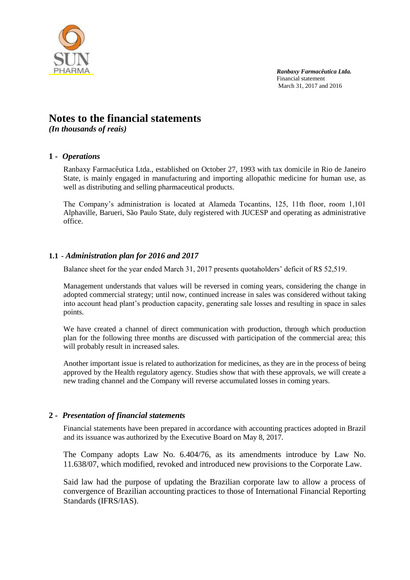

# **Notes to the financial statements**

*(In thousands of reais)*

## **1 -** *Operations*

Ranbaxy Farmacêutica Ltda., established on October 27, 1993 with tax domicile in Rio de Janeiro State, is mainly engaged in manufacturing and importing allopathic medicine for human use, as well as distributing and selling pharmaceutical products.

The Company's administration is located at Alameda Tocantins, 125, 11th floor, room 1,101 Alphaville, Barueri, São Paulo State, duly registered with JUCESP and operating as administrative office.

## **1.1 -** *Administration plan for 2016 and 2017*

Balance sheet for the year ended March 31, 2017 presents quotaholders' deficit of R\$ 52,519.

Management understands that values will be reversed in coming years, considering the change in adopted commercial strategy; until now, continued increase in sales was considered without taking into account head plant's production capacity, generating sale losses and resulting in space in sales points.

We have created a channel of direct communication with production, through which production plan for the following three months are discussed with participation of the commercial area; this will probably result in increased sales.

Another important issue is related to authorization for medicines, as they are in the process of being approved by the Health regulatory agency. Studies show that with these approvals, we will create a new trading channel and the Company will reverse accumulated losses in coming years.

#### **2 -** *Presentation of financial statements*

Financial statements have been prepared in accordance with accounting practices adopted in Brazil and its issuance was authorized by the Executive Board on May 8, 2017.

The Company adopts Law No. 6.404/76, as its amendments introduce by Law No. 11.638/07, which modified, revoked and introduced new provisions to the Corporate Law.

Said law had the purpose of updating the Brazilian corporate law to allow a process of convergence of Brazilian accounting practices to those of International Financial Reporting Standards (IFRS/IAS).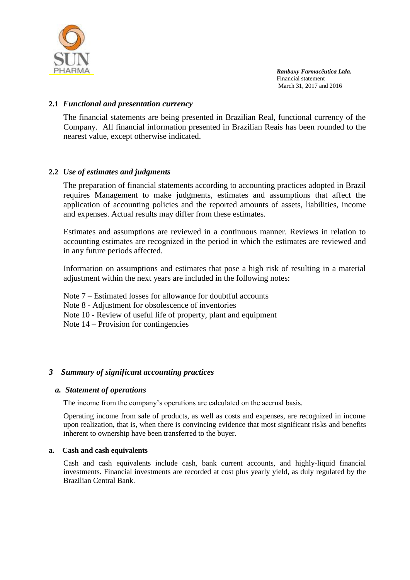

# **2.1** *Functional and presentation currency*

The financial statements are being presented in Brazilian Real, functional currency of the Company. All financial information presented in Brazilian Reais has been rounded to the nearest value, except otherwise indicated.

## **2.2** *Use of estimates and judgments*

The preparation of financial statements according to accounting practices adopted in Brazil requires Management to make judgments, estimates and assumptions that affect the application of accounting policies and the reported amounts of assets, liabilities, income and expenses. Actual results may differ from these estimates.

Estimates and assumptions are reviewed in a continuous manner. Reviews in relation to accounting estimates are recognized in the period in which the estimates are reviewed and in any future periods affected.

Information on assumptions and estimates that pose a high risk of resulting in a material adjustment within the next years are included in the following notes:

Note 7 – Estimated losses for allowance for doubtful accounts

Note 8 - Adjustment for obsolescence of inventories

Note 10 - Review of useful life of property, plant and equipment

Note 14 – Provision for contingencies

# *3 Summary of significant accounting practices*

#### *a. Statement of operations*

The income from the company's operations are calculated on the accrual basis.

Operating income from sale of products, as well as costs and expenses, are recognized in income upon realization, that is, when there is convincing evidence that most significant risks and benefits inherent to ownership have been transferred to the buyer.

#### **a. Cash and cash equivalents**

Cash and cash equivalents include cash, bank current accounts, and highly-liquid financial investments. Financial investments are recorded at cost plus yearly yield, as duly regulated by the Brazilian Central Bank.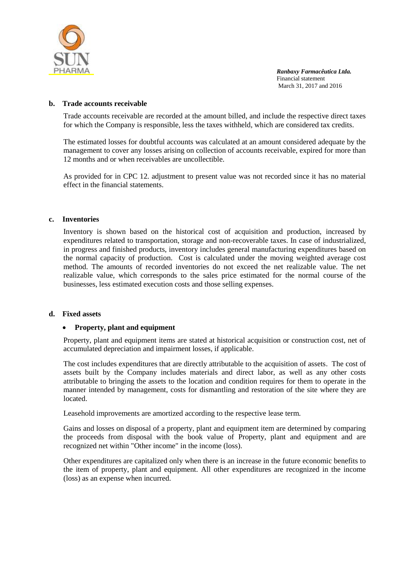

#### **b. Trade accounts receivable**

Trade accounts receivable are recorded at the amount billed, and include the respective direct taxes for which the Company is responsible, less the taxes withheld, which are considered tax credits.

The estimated losses for doubtful accounts was calculated at an amount considered adequate by the management to cover any losses arising on collection of accounts receivable, expired for more than 12 months and or when receivables are uncollectible.

As provided for in CPC 12. adjustment to present value was not recorded since it has no material effect in the financial statements.

#### **c. Inventories**

Inventory is shown based on the historical cost of acquisition and production, increased by expenditures related to transportation, storage and non-recoverable taxes. In case of industrialized, in progress and finished products, inventory includes general manufacturing expenditures based on the normal capacity of production. Cost is calculated under the moving weighted average cost method. The amounts of recorded inventories do not exceed the net realizable value. The net realizable value, which corresponds to the sales price estimated for the normal course of the businesses, less estimated execution costs and those selling expenses.

#### **d. Fixed assets**

#### **Property, plant and equipment**

Property, plant and equipment items are stated at historical acquisition or construction cost, net of accumulated depreciation and impairment losses, if applicable.

The cost includes expenditures that are directly attributable to the acquisition of assets. The cost of assets built by the Company includes materials and direct labor, as well as any other costs attributable to bringing the assets to the location and condition requires for them to operate in the manner intended by management, costs for dismantling and restoration of the site where they are located.

Leasehold improvements are amortized according to the respective lease term.

Gains and losses on disposal of a property, plant and equipment item are determined by comparing the proceeds from disposal with the book value of Property, plant and equipment and are recognized net within "Other income" in the income (loss).

Other expenditures are capitalized only when there is an increase in the future economic benefits to the item of property, plant and equipment. All other expenditures are recognized in the income (loss) as an expense when incurred.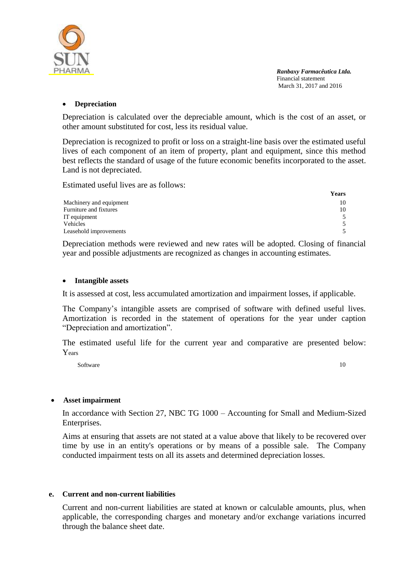

#### **Depreciation**

Depreciation is calculated over the depreciable amount, which is the cost of an asset, or other amount substituted for cost, less its residual value.

Depreciation is recognized to profit or loss on a straight-line basis over the estimated useful lives of each component of an item of property, plant and equipment, since this method best reflects the standard of usage of the future economic benefits incorporated to the asset. Land is not depreciated.

Estimated useful lives are as follows:

|                         | <b>Years</b> |
|-------------------------|--------------|
| Machinery and equipment | 10           |
| Furniture and fixtures  | 10           |
| IT equipment            |              |
| Vehicles                |              |
| Leasehold improvements  |              |

Depreciation methods were reviewed and new rates will be adopted. Closing of financial year and possible adjustments are recognized as changes in accounting estimates.

#### **Intangible assets**

It is assessed at cost, less accumulated amortization and impairment losses, if applicable.

The Company's intangible assets are comprised of software with defined useful lives. Amortization is recorded in the statement of operations for the year under caption "Depreciation and amortization".

The estimated useful life for the current year and comparative are presented below: Years

Software 10

#### **Asset impairment**

In accordance with Section 27, NBC TG 1000 – Accounting for Small and Medium-Sized Enterprises.

Aims at ensuring that assets are not stated at a value above that likely to be recovered over time by use in an entity's operations or by means of a possible sale. The Company conducted impairment tests on all its assets and determined depreciation losses.

#### **e. Current and non-current liabilities**

Current and non-current liabilities are stated at known or calculable amounts, plus, when applicable, the corresponding charges and monetary and/or exchange variations incurred through the balance sheet date.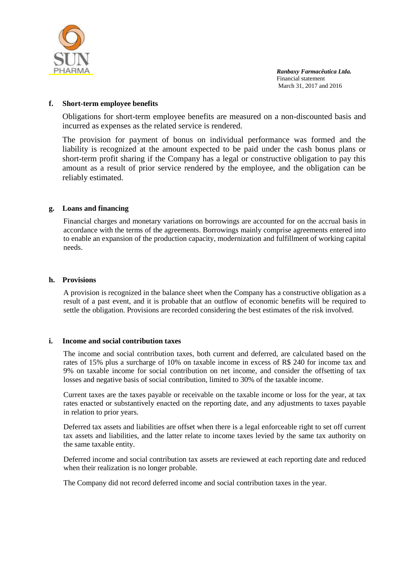

#### **f. Short-term employee benefits**

Obligations for short-term employee benefits are measured on a non-discounted basis and incurred as expenses as the related service is rendered.

The provision for payment of bonus on individual performance was formed and the liability is recognized at the amount expected to be paid under the cash bonus plans or short-term profit sharing if the Company has a legal or constructive obligation to pay this amount as a result of prior service rendered by the employee, and the obligation can be reliably estimated.

#### **g. Loans and financing**

Financial charges and monetary variations on borrowings are accounted for on the accrual basis in accordance with the terms of the agreements. Borrowings mainly comprise agreements entered into to enable an expansion of the production capacity, modernization and fulfillment of working capital needs.

#### **h. Provisions**

A provision is recognized in the balance sheet when the Company has a constructive obligation as a result of a past event, and it is probable that an outflow of economic benefits will be required to settle the obligation. Provisions are recorded considering the best estimates of the risk involved.

#### **i. Income and social contribution taxes**

The income and social contribution taxes, both current and deferred, are calculated based on the rates of 15% plus a surcharge of 10% on taxable income in excess of R\$ 240 for income tax and 9% on taxable income for social contribution on net income, and consider the offsetting of tax losses and negative basis of social contribution, limited to 30% of the taxable income.

Current taxes are the taxes payable or receivable on the taxable income or loss for the year, at tax rates enacted or substantively enacted on the reporting date, and any adjustments to taxes payable in relation to prior years.

Deferred tax assets and liabilities are offset when there is a legal enforceable right to set off current tax assets and liabilities, and the latter relate to income taxes levied by the same tax authority on the same taxable entity.

Deferred income and social contribution tax assets are reviewed at each reporting date and reduced when their realization is no longer probable.

The Company did not record deferred income and social contribution taxes in the year.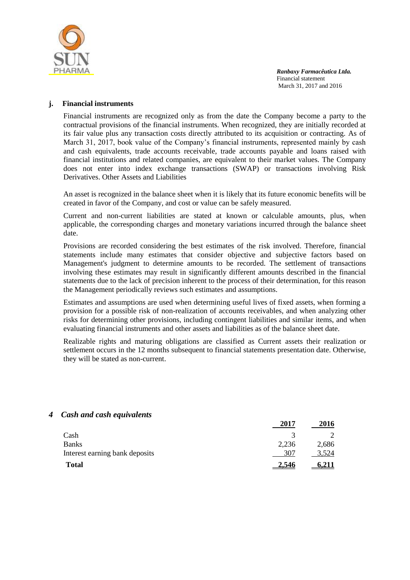

 **2017 2016**

#### **j. Financial instruments**

Financial instruments are recognized only as from the date the Company become a party to the contractual provisions of the financial instruments. When recognized, they are initially recorded at its fair value plus any transaction costs directly attributed to its acquisition or contracting. As of March 31, 2017, book value of the Company's financial instruments, represented mainly by cash and cash equivalents, trade accounts receivable, trade accounts payable and loans raised with financial institutions and related companies, are equivalent to their market values. The Company does not enter into index exchange transactions (SWAP) or transactions involving Risk Derivatives. Other Assets and Liabilities

An asset is recognized in the balance sheet when it is likely that its future economic benefits will be created in favor of the Company, and cost or value can be safely measured.

Current and non-current liabilities are stated at known or calculable amounts, plus, when applicable, the corresponding charges and monetary variations incurred through the balance sheet date.

Provisions are recorded considering the best estimates of the risk involved. Therefore, financial statements include many estimates that consider objective and subjective factors based on Management's judgment to determine amounts to be recorded. The settlement of transactions involving these estimates may result in significantly different amounts described in the financial statements due to the lack of precision inherent to the process of their determination, for this reason the Management periodically reviews such estimates and assumptions.

Estimates and assumptions are used when determining useful lives of fixed assets, when forming a provision for a possible risk of non-realization of accounts receivables, and when analyzing other risks for determining other provisions, including contingent liabilities and similar items, and when evaluating financial instruments and other assets and liabilities as of the balance sheet date.

Realizable rights and maturing obligations are classified as Current assets their realization or settlement occurs in the 12 months subsequent to financial statements presentation date. Otherwise, they will be stated as non-current.

| <b>Total</b>                   | 2.546          | 6.211 |
|--------------------------------|----------------|-------|
| Interest earning bank deposits | 307            | 3,524 |
| <b>Banks</b>                   | 2,236          | 2,686 |
| Cash                           |                |       |
|                                | $\overline{u}$ | 2010  |

#### *4 Cash and cash equivalents*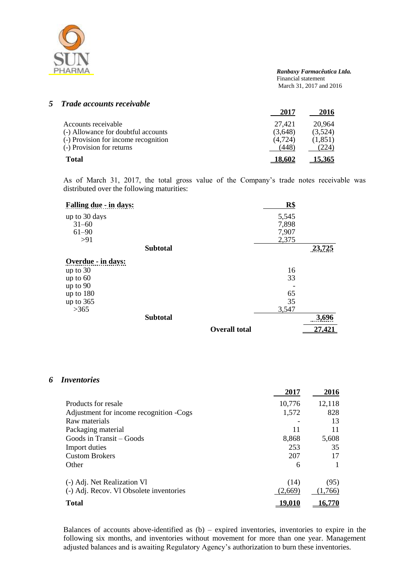

### *5 Trade accounts receivable*

|                                      | 2017          | 2016    |
|--------------------------------------|---------------|---------|
| Accounts receivable                  | 27.421        | 20.964  |
| (-) Allowance for doubtful accounts  | (3.648)       | (3,524) |
| (-) Provision for income recognition | (4.724)       | (1,851) |
| (-) Provision for returns            | 448.          | 224     |
| <b>Total</b>                         | <u>18,602</u> | 15.365  |

As of March 31, 2017, the total gross value of the Company's trade notes receivable was distributed over the following maturities:

| <b>Falling due - in days:</b> |                 |                      | R\$   |        |
|-------------------------------|-----------------|----------------------|-------|--------|
| up to 30 days                 |                 |                      | 5,545 |        |
| $31 - 60$                     |                 |                      | 7,898 |        |
| $61 - 90$                     |                 |                      | 7,907 |        |
| >91                           |                 |                      | 2,375 |        |
|                               | <b>Subtotal</b> |                      |       | 23,725 |
| Overdue - in days:            |                 |                      |       |        |
| up to $30$                    |                 |                      | 16    |        |
| up to $60$                    |                 |                      | 33    |        |
| up to $90$                    |                 |                      |       |        |
| up to $180$                   |                 |                      | 65    |        |
| up to $365$                   |                 |                      | 35    |        |
| >365                          |                 |                      | 3,547 |        |
|                               | <b>Subtotal</b> |                      |       | 3,696  |
|                               |                 | <b>Overall total</b> |       | 27,421 |

#### *6 Inventories*

|                                         | 2017    | 2016    |
|-----------------------------------------|---------|---------|
| Products for resale                     | 10,776  | 12,118  |
| Adjustment for income recognition -Cogs | 1,572   | 828     |
| Raw materials                           |         | 13      |
| Packaging material                      | 11      | 11      |
| Goods in Transit – Goods                | 8,868   | 5,608   |
| Import duties                           | 253     | 35      |
| <b>Custom Brokers</b>                   | 207     | 17      |
| Other                                   | 6       |         |
| (-) Adj. Net Realization Vl             | (14)    | (95)    |
| (-) Adj. Recov. Vl Obsolete inventories | (2.669) | (1,766) |
| <b>Total</b>                            | 9.010   | 16.770  |

Balances of accounts above-identified as (b) – expired inventories, inventories to expire in the following six months, and inventories without movement for more than one year. Management adjusted balances and is awaiting Regulatory Agency's authorization to burn these inventories.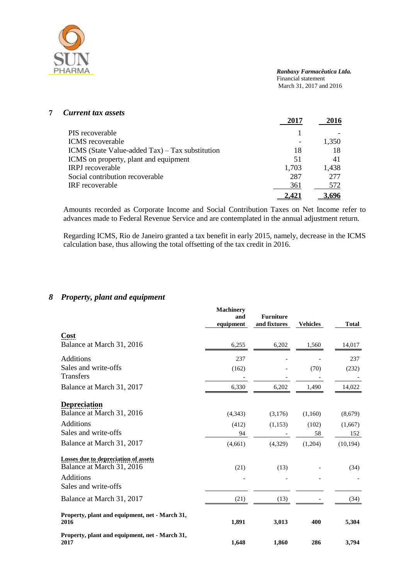

# **7** *Current tax assets*

|                                                 | 2017  | 2016  |
|-------------------------------------------------|-------|-------|
| PIS recoverable                                 |       |       |
| <b>ICMS</b> recoverable                         |       | 1,350 |
| ICMS (State Value-added Tax) – Tax substitution | 18    | 18    |
| ICMS on property, plant and equipment           | 51    | 41    |
| <b>IRPJ</b> recoverable                         | 1,703 | 1,438 |
| Social contribution recoverable                 | 287   | 277   |
| IRF recoverable                                 | 361   | 572   |
|                                                 | 2,42  |       |

Amounts recorded as Corporate Income and Social Contribution Taxes on Net Income refer to advances made to Federal Revenue Service and are contemplated in the annual adjustment return.

Regarding ICMS, Rio de Janeiro granted a tax benefit in early 2015, namely, decrease in the ICMS calculation base, thus allowing the total offsetting of the tax credit in 2016.

## *8 Property, plant and equipment*

|                                                                          | <b>Machinery</b><br>and<br>equipment | <b>Furniture</b><br>and fixtures | <b>Vehicles</b> | <b>Total</b>   |
|--------------------------------------------------------------------------|--------------------------------------|----------------------------------|-----------------|----------------|
| Cost                                                                     |                                      |                                  |                 |                |
| Balance at March 31, 2016                                                | 6,255                                | 6,202                            | 1,560           | 14,017         |
| Additions                                                                | 237                                  |                                  |                 | 237            |
| Sales and write-offs<br>Transfers                                        | (162)                                |                                  | (70)            | (232)          |
| Balance at March 31, 2017                                                | 6,330                                | 6,202                            | 1,490           | 14,022         |
| <b>Depreciation</b><br>Balance at March 31, 2016                         |                                      |                                  |                 |                |
|                                                                          | (4,343)                              | (3,176)                          | (1,160)         | (8,679)        |
| <b>Additions</b><br>Sales and write-offs                                 | (412)<br>94                          | (1,153)                          | (102)<br>58     | (1,667)<br>152 |
| Balance at March 31, 2017                                                | (4,661)                              | (4, 329)                         | (1,204)         | (10, 194)      |
| <b>Losses due to depreciation of assets</b><br>Balance at March 31, 2016 | (21)                                 | (13)                             |                 | (34)           |
| Additions<br>Sales and write-offs                                        |                                      |                                  |                 |                |
| Balance at March 31, 2017                                                | (21)                                 | (13)                             |                 | (34)           |
| Property, plant and equipment, net - March 31,<br>2016                   | 1,891                                | 3,013                            | 400             | 5,304          |
| Property, plant and equipment, net - March 31,<br>2017                   | 1,648                                | 1,860                            | 286             | 3,794          |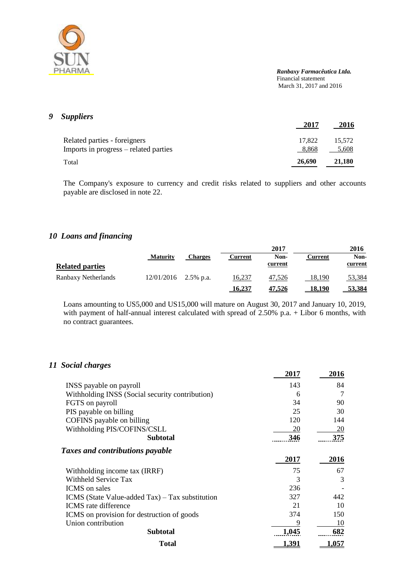

# *9 Suppliers*

|                                       | 2017   | 2016   |
|---------------------------------------|--------|--------|
| Related parties - foreigners          | 17.822 | 15.572 |
| Imports in progress – related parties | 8.868  | 5,608  |
| Total                                 | 26,690 | 21,180 |

The Company's exposure to currency and credit risks related to suppliers and other accounts payable are disclosed in note 22.

# *10 Loans and financing*

|                        |                        |         |               | 2017          |                | 2016          |
|------------------------|------------------------|---------|---------------|---------------|----------------|---------------|
|                        | <b>Maturity</b>        | Charges | Current       | Non-          | <b>Current</b> | Non-          |
| <b>Related parties</b> |                        |         |               | current       |                | current       |
| Ranbaxy Netherlands    | $12/01/2016$ 2.5% p.a. |         | 16.237        | 47.526        | 18.190         | 53,384        |
|                        |                        |         | <u>16,237</u> | <u>47,526</u> | <u>18,190</u>  | <u>53,384</u> |

Loans amounting to US5,000 and US15,000 will mature on August 30, 2017 and January 10, 2019, with payment of half-annual interest calculated with spread of 2.50% p.a. + Libor 6 months, with no contract guarantees.

#### *11 Social charges*

|                                                 | 2017  | 2016  |
|-------------------------------------------------|-------|-------|
| INSS payable on payroll                         | 143   | 84    |
| Withholding INSS (Social security contribution) | 6     | 7     |
| FGTS on payroll                                 | 34    | 90    |
| PIS payable on billing                          | 25    | 30    |
| COFINS payable on billing                       | 120   | 144   |
| Withholding PIS/COFINS/CSLL                     | 20    | 20    |
| <b>Subtotal</b>                                 | 346   | 375   |
| <b>Taxes and contributions payable</b>          |       |       |
|                                                 | 2017  | 2016  |
| Withholding income tax (IRRF)                   | 75    | 67    |
| Withheld Service Tax                            | 3     | 3     |
| <b>ICMS</b> on sales                            | 236   |       |
| ICMS (State Value-added Tax) – Tax substitution | 327   | 442   |
| <b>ICMS</b> rate difference                     | 21    | 10    |
| ICMS on provision for destruction of goods      | 374   | 150   |
| Union contribution                              | 9     | 10    |
| <b>Subtotal</b>                                 | 1.045 | 682   |
| <b>Total</b>                                    | 1.391 | 1.057 |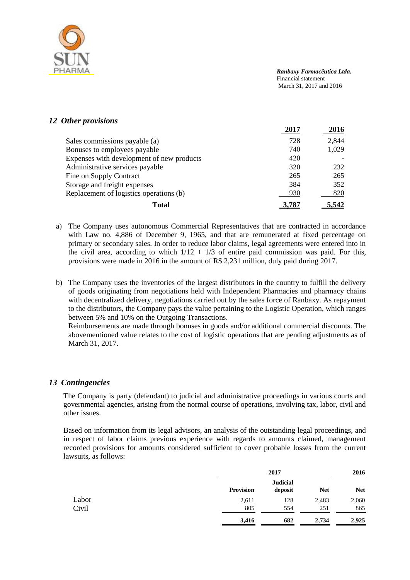

### *12 Other provisions*

|                                           | 2017 | 2016  |
|-------------------------------------------|------|-------|
| Sales commissions payable (a)             | 728  | 2,844 |
| Bonuses to employees payable              | 740  | 1,029 |
| Expenses with development of new products | 420  |       |
| Administrative services payable           | 320  | 232   |
| Fine on Supply Contract                   | 265  | 265   |
| Storage and freight expenses              | 384  | 352   |
| Replacement of logistics operations (b)   | 930  | 820   |
| <b>Total</b>                              |      |       |

- a) The Company uses autonomous Commercial Representatives that are contracted in accordance with Law no. 4,886 of December 9, 1965, and that are remunerated at fixed percentage on primary or secondary sales. In order to reduce labor claims, legal agreements were entered into in the civil area, according to which  $1/12 + 1/3$  of entire paid commission was paid. For this, provisions were made in 2016 in the amount of R\$ 2,231 million, duly paid during 2017.
- b) The Company uses the inventories of the largest distributors in the country to fulfill the delivery of goods originating from negotiations held with Independent Pharmacies and pharmacy chains with decentralized delivery, negotiations carried out by the sales force of Ranbaxy. As repayment to the distributors, the Company pays the value pertaining to the Logistic Operation, which ranges between 5% and 10% on the Outgoing Transactions.

Reimbursements are made through bonuses in goods and/or additional commercial discounts. The abovementioned value relates to the cost of logistic operations that are pending adjustments as of March 31, 2017.

#### *13 Contingencies*

The Company is party (defendant) to judicial and administrative proceedings in various courts and governmental agencies, arising from the normal course of operations, involving tax, labor, civil and other issues.

Based on information from its legal advisors, an analysis of the outstanding legal proceedings, and in respect of labor claims previous experience with regards to amounts claimed, management recorded provisions for amounts considered sufficient to cover probable losses from the current lawsuits, as follows:

|       |                  | 2017                       |            | 2016       |
|-------|------------------|----------------------------|------------|------------|
|       | <b>Provision</b> | <b>Judicial</b><br>deposit | <b>Net</b> | <b>Net</b> |
| Labor | 2,611            | 128                        | 2,483      | 2,060      |
| Civil | 805              | 554                        | 251        | 865        |
|       | 3,416            | 682                        | 2,734      | 2,925      |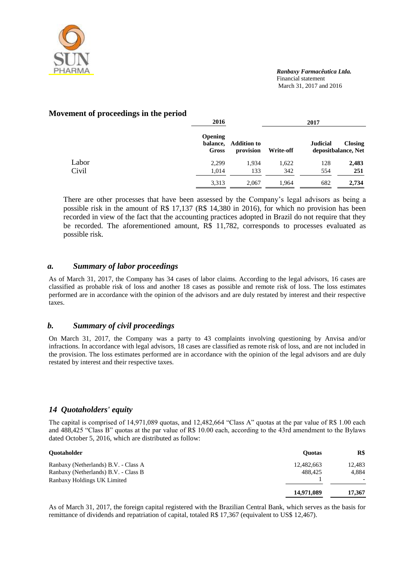

#### **Movement of proceedings in the period**

|       | 2016                                |                                 | 2017      |                 |                                       |  |
|-------|-------------------------------------|---------------------------------|-----------|-----------------|---------------------------------------|--|
|       | <b>Opening</b><br>balance.<br>Gross | <b>Addition to</b><br>provision | Write-off | <b>Judicial</b> | <b>Closing</b><br>depositbalance, Net |  |
| Labor | 2,299                               | 1,934                           | 1,622     | 128             | 2,483                                 |  |
| Civil | 1.014                               | 133                             | 342       | 554             | 251                                   |  |
|       | 3,313                               | 2,067                           | 1,964     | 682             | 2,734                                 |  |

There are other processes that have been assessed by the Company's legal advisors as being a possible risk in the amount of R\$ 17,137 (R\$ 14,380 in 2016), for which no provision has been recorded in view of the fact that the accounting practices adopted in Brazil do not require that they be recorded. The aforementioned amount, R\$ 11,782, corresponds to processes evaluated as possible risk.

#### *a. Summary of labor proceedings*

As of March 31, 2017, the Company has 34 cases of labor claims. According to the legal advisors, 16 cases are classified as probable risk of loss and another 18 cases as possible and remote risk of loss. The loss estimates performed are in accordance with the opinion of the advisors and are duly restated by interest and their respective taxes.

#### *b. Summary of civil proceedings*

On March 31, 2017, the Company was a party to 43 complaints involving questioning by Anvisa and/or infractions. In accordance with legal advisors, 18 cases are classified as remote risk of loss, and are not included in the provision. The loss estimates performed are in accordance with the opinion of the legal advisors and are duly restated by interest and their respective taxes.

# *14 Quotaholders' equity*

The capital is comprised of 14,971,089 quotas, and 12,482,664 "Class A" quotas at the par value of R\$ 1.00 each and 488,425 "Class B" quotas at the par value of R\$ 10.00 each, according to the 43rd amendment to the Bylaws dated October 5, 2016, which are distributed as follow:

| <b>Ouotaholder</b>                   | <b>Ouotas</b> | R\$                      |
|--------------------------------------|---------------|--------------------------|
| Ranbaxy (Netherlands) B.V. - Class A | 12,482,663    | 12.483                   |
| Ranbaxy (Netherlands) B.V. - Class B | 488.425       | 4.884                    |
| Ranbaxy Holdings UK Limited          | 14,971,089    | $\overline{\phantom{0}}$ |
|                                      |               | 17.367                   |

As of March 31, 2017, the foreign capital registered with the Brazilian Central Bank, which serves as the basis for remittance of dividends and repatriation of capital, totaled R\$ 17,367 (equivalent to US\$ 12,467).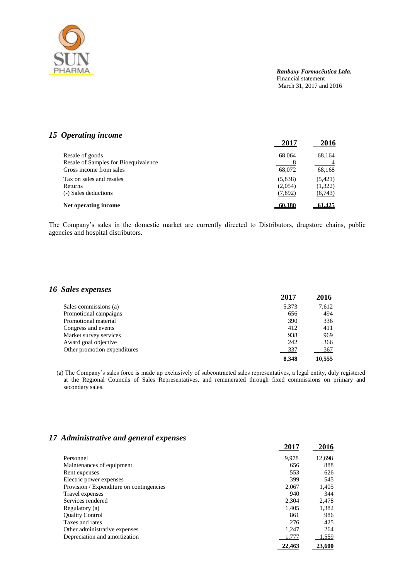

## *15 Operating income*

|                                      | 2017    | 2016     |
|--------------------------------------|---------|----------|
| Resale of goods                      | 68,064  | 68,164   |
| Resale of Samples for Bioequivalence |         |          |
| Gross income from sales              | 68,072  | 68,168   |
| Tax on sales and resales             | (5,838) | (5, 421) |
| Returns                              | (2,054) | (1,322)  |
| (-) Sales deductions                 | (7,892) | (6,743)  |
| Net operating income                 | 60.180  | 61.425   |

The Company's sales in the domestic market are currently directed to Distributors, drugstore chains, public agencies and hospital distributors.

#### *16 Sales expenses*

|                              | 2017  | 2016   |
|------------------------------|-------|--------|
| Sales commissions (a)        | 5,373 | 7,612  |
| Promotional campaigns        | 656   | 494    |
| Promotional material         | 390   | 336    |
| Congress and events          | 412   | 411    |
| Market survey services       | 938   | 969    |
| Award goal objective         | 242   | 366    |
| Other promotion expenditures | 337   | 367    |
|                              | 8.348 | 10.555 |

(a) The Company's sales force is made up exclusively of subcontracted sales representatives, a legal entity, duly registered at the Regional Councils of Sales Representatives, and remunerated through fixed commissions on primary and secondary sales.

#### *17 Administrative and general expenses*

|                                          | 2017   | 2016   |
|------------------------------------------|--------|--------|
| Personnel                                | 9.978  | 12,698 |
| Maintenances of equipment                | 656    | 888    |
| Rent expenses                            | 553    | 626    |
| Electric power expenses                  | 399    | 545    |
| Provision / Expenditure on contingencies | 2.067  | 1,405  |
| Travel expenses                          | 940    | 344    |
| Services rendered                        | 2.304  | 2.478  |
| Regulatory (a)                           | 1,405  | 1,382  |
| <b>Quality Control</b>                   | 861    | 986    |
| Taxes and rates                          | 276    | 425    |
| Other administrative expenses            | 1.247  | 264    |
| Depreciation and amortization            | 1,777  | 1,559  |
|                                          | 22.463 | 23.600 |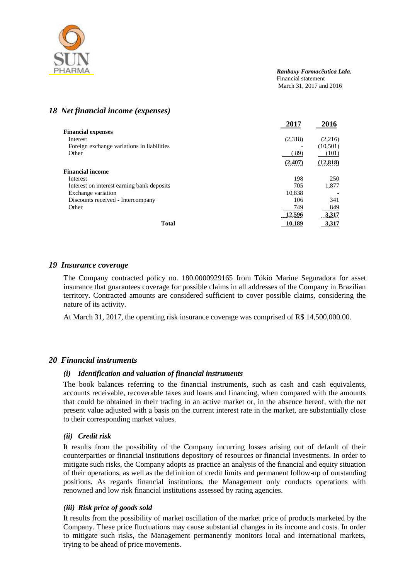

### *18 Net financial income (expenses)*

|                                            | 2017    | 2016      |
|--------------------------------------------|---------|-----------|
| <b>Financial expenses</b>                  |         |           |
| Interest                                   | (2,318) | (2,216)   |
| Foreign exchange variations in liabilities |         | (10, 501) |
| Other                                      | (89)    | (101)     |
|                                            | (2,407) | (12, 818) |
| <b>Financial income</b>                    |         |           |
| Interest                                   | 198     | 250       |
| Interest on interest earning bank deposits | 705     | 1,877     |
| Exchange variation                         | 10,838  |           |
| Discounts received - Intercompany          | 106     | 341       |
| Other                                      | 749     | 849       |
|                                            | 12,596  | 3,317     |
| <b>Total</b>                               | 10.189  | 3.317     |

#### *19 Insurance coverage*

The Company contracted policy no. 180.0000929165 from Tókio Marine Seguradora for asset insurance that guarantees coverage for possible claims in all addresses of the Company in Brazilian territory. Contracted amounts are considered sufficient to cover possible claims, considering the nature of its activity.

At March 31, 2017, the operating risk insurance coverage was comprised of R\$ 14,500,000.00.

#### *20 Financial instruments*

#### *(i) Identification and valuation of financial instruments*

The book balances referring to the financial instruments, such as cash and cash equivalents, accounts receivable, recoverable taxes and loans and financing, when compared with the amounts that could be obtained in their trading in an active market or, in the absence hereof, with the net present value adjusted with a basis on the current interest rate in the market, are substantially close to their corresponding market values.

#### *(ii) Credit risk*

It results from the possibility of the Company incurring losses arising out of default of their counterparties or financial institutions depository of resources or financial investments. In order to mitigate such risks, the Company adopts as practice an analysis of the financial and equity situation of their operations, as well as the definition of credit limits and permanent follow-up of outstanding positions. As regards financial institutions, the Management only conducts operations with renowned and low risk financial institutions assessed by rating agencies.

#### *(iii) Risk price of goods sold*

It results from the possibility of market oscillation of the market price of products marketed by the Company. These price fluctuations may cause substantial changes in its income and costs. In order to mitigate such risks, the Management permanently monitors local and international markets, trying to be ahead of price movements.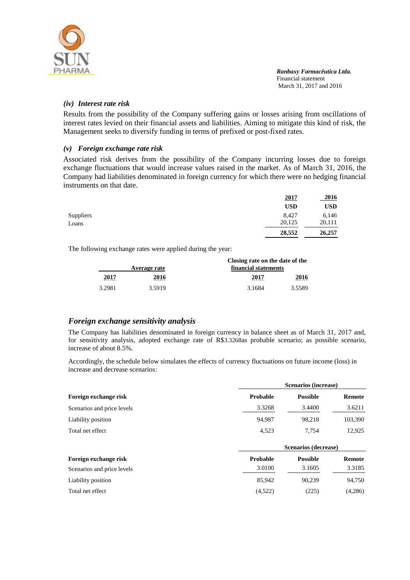

#### *(iv) Interest rate risk*

Results from the possibility of the Company suffering gains or losses arising from oscillations of interest rates levied on their financial assets and liabilities. Aiming to mitigate this kind of risk, the Management seeks to diversify funding in terms of prefixed or post-fixed rates.

#### *(v) Foreign exchange rate risk*

Associated risk derives from the possibility of the Company incurring losses due to foreign exchange fluctuations that would increase values raised in the market. As of March 31, 2016, the Company had liabilities denominated in foreign currency for which there were no hedging financial instruments on that date.

|           | <u>2017</u> | <u>2016</u> |
|-----------|-------------|-------------|
|           | <b>USD</b>  | USD         |
| Suppliers | 8,427       | 6,146       |
| Loans     | 20,125      | 20,111      |
|           | 28,552      | 26,257      |

The following exchange rates were applied during the year:

|              |              | Closing rate on the date of the |           |  |
|--------------|--------------|---------------------------------|-----------|--|
|              | Average rate | financial statements            |           |  |
| 2017<br>---- | 2016<br>---- | 2017<br>----                    | 2016<br>. |  |
| 3.2981       | 3.5919       | 3.1684                          | 3.5589    |  |

# *Foreign exchange sensitivity analysis*

The Company has liabilities denominated in foreign currency in balance sheet as of March 31, 2017 and, for sensitivity analysis, adopted exchange rate of R\$3.3268as probable scenario; as possible scenario, increase of about 8.5%.

Accordingly, the schedule below simulates the effects of currency fluctuations on future income (loss) in increase and decrease scenarios:

| Foreign exchange risk      | <b>Scenarios (increase)</b> |                 |               |
|----------------------------|-----------------------------|-----------------|---------------|
|                            | <b>Probable</b>             | <b>Possible</b> | Remote        |
| Scenarios and price levels | 3.3268                      | 3.4400          | 3.6211        |
| Liability position         | 94.987                      | 98,218          | 103,390       |
| Total net effect           | 4,523                       | 7.754           | 12,925        |
|                            | Scenarios (decrease)        |                 |               |
| Foreign exchange risk      | <b>Probable</b>             | <b>Possible</b> | <b>Remote</b> |
| Scenarios and price levels | 3.0100                      | 3.1605          | 3.3185        |
| Liability position         | 85,942                      | 90,239          | 94,750        |
| Total net effect           | (4,522)                     | (225)           | (4,286)       |